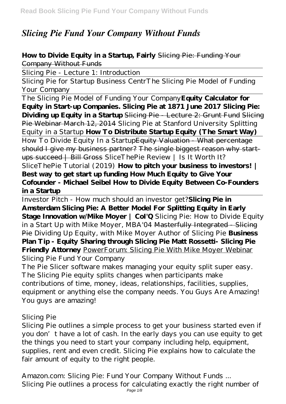# *Slicing Pie Fund Your Company Without Funds*

## **How to Divide Equity in a Startup, Fairly** Slicing Pie: Funding Your Company Without Funds

Slicing Pie - Lecture 1: Introduction

Slicing Pie for Startup Business Centr*The Slicing Pie Model of Funding Your Company*

The Slicing Pie Model of Funding Your Company**Equity Calculator for Equity in Start-up Companies. Slicing Pie at 1871 June 2017 Slicing Pie: Dividing up Equity in a Startup** Slicing Pie - Lecture 2: Grunt Fund Slicing Pie Webinar March 12, 2014 Slicing Pie at Stanford University *Splitting Equity in a Startup* **How To Distribute Startup Equity (The Smart Way)**

How To Divide Equity In a StartupEquity Valuation - What percentage should I give my business partner? The single biggest reason why startups succeed | Bill Gross *SliceThePie Review | Is It Worth It?*

*SliceThePie Tutorial (2019)* **How to pitch your business to investors! | Best way to get start up funding How Much Equity to Give Your Cofounder - Michael Seibel How to Divide Equity Between Co-Founders in a Startup**

Investor Pitch - How much should an investor get?**Slicing Pie in Amsterdam Slicing Pie: A Better Model For Splitting Equity in Early Stage Innovation w/Mike Moyer | CoI'Q** Slicing Pie: How to Divide Equity in a Start Up with Mike Moyer, MBA'04 Masterfully Integrated - Slicing Pie *Dividing Up Equity, with Mike Moyer Author of Slicing Pie* **Business Plan Tip - Equity Sharing through Slicing Pie Matt Rossetti- Slicing Pie Friendly Attorney** PowerForum: Slicing Pie With Mike Moyer Webinar *Slicing Pie Fund Your Company*

The Pie Slicer software makes managing your equity split super easy. The Slicing Pie equity splits changes when participants make contributions of time, money, ideas, relationships, facilities, supplies, equipment or anything else the company needs. You Guys Are Amazing! You guys are amazing!

#### *Slicing Pie*

Slicing Pie outlines a simple process to get your business started even if you don't have a lot of cash. In the early days you can use equity to get the things you need to start your company including help, equipment, supplies, rent and even credit. Slicing Pie explains how to calculate the fair amount of equity to the right people.

*Amazon.com: Slicing Pie: Fund Your Company Without Funds ...* Slicing Pie outlines a process for calculating exactly the right number of Page 1/8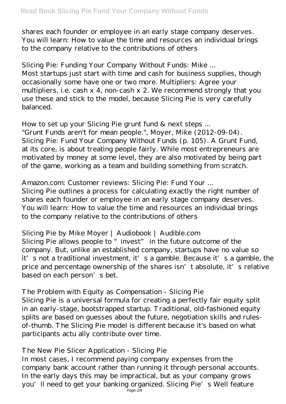shares each founder or employee in an early stage company deserves. You will learn: How to value the time and resources an individual brings to the company relative to the contributions of others

#### *Slicing Pie: Funding Your Company Without Funds: Mike ...*

Most startups just start with time and cash for business supplies, though occasionally some have one or two more. Multipliers: Agree your multipliers, i.e. cash x 4, non-cash x 2. We recommend strongly that you use these and stick to the model, because Slicing Pie is very carefully balanced.

## *How to set up your Slicing Pie grunt fund & next steps ...*

"Grunt Funds aren't for mean people.", Moyer, Mike (2012-09-04). Slicing Pie: Fund Your Company Without Funds (p. 105). A Grunt Fund, at its core, is about treating people fairly. While most entrepreneurs are motivated by money at some level, they are also motivated by being part of the game, working as a team and building something from scratch.

## *Amazon.com: Customer reviews: Slicing Pie: Fund Your ...*

Slicing Pie outlines a process for calculating exactly the right number of shares each founder or employee in an early stage company deserves. You will learn: How to value the time and resources an individual brings to the company relative to the contributions of others

# *Slicing Pie by Mike Moyer | Audiobook | Audible.com*

Slicing Pie allows people to "invest" in the future outcome of the company. But, unlike an established company, startups have no value so it's not a traditional investment, it's a gamble. Because it's a gamble, the price and percentage ownership of the shares isn't absolute, it's relative based on each person's bet.

#### *The Problem with Equity as Compensation - Slicing Pie*

Slicing Pie is a universal formula for creating a perfectly fair equity split in an early-stage, bootstrapped startup. Traditional, old-fashioned equity splits are based on guesses about the future, negotiation skills and rulesof-thumb. The Slicing Pie model is different because it's based on what participants actu ally contribute over time.

# *The New Pie Slicer Application - Slicing Pie*

In most cases, I recommend paying company expenses from the company bank account rather than running it through personal accounts. In the early days this may be impractical, but as your company grows you'll need to get your banking organized. Slicing Pie's Well feature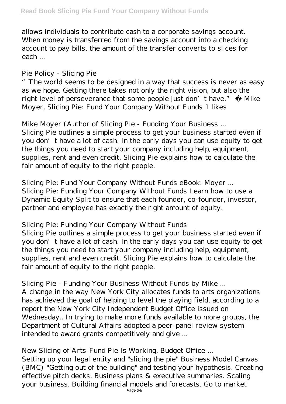allows individuals to contribute cash to a corporate savings account. When money is transferred from the savings account into a checking account to pay bills, the amount of the transfer converts to slices for each ...

# *Pie Policy - Slicing Pie*

The world seems to be designed in a way that success is never as easy as we hope. Getting there takes not only the right vision, but also the right level of perseverance that some people just don't have." ― Mike Moyer, Slicing Pie: Fund Your Company Without Funds 1 likes

# *Mike Moyer (Author of Slicing Pie - Funding Your Business ...*

Slicing Pie outlines a simple process to get your business started even if you don't have a lot of cash. In the early days you can use equity to get the things you need to start your company including help, equipment, supplies, rent and even credit. Slicing Pie explains how to calculate the fair amount of equity to the right people.

#### *Slicing Pie: Fund Your Company Without Funds eBook: Moyer ...* Slicing Pie: Funding Your Company Without Funds Learn how to use a Dynamic Equity Split to ensure that each founder, co-founder, investor, partner and employee has exactly the right amount of equity.

# *Slicing Pie: Funding Your Company Without Funds*

Slicing Pie outlines a simple process to get your business started even if you don't have a lot of cash. In the early days you can use equity to get the things you need to start your company including help, equipment, supplies, rent and even credit. Slicing Pie explains how to calculate the fair amount of equity to the right people.

# *Slicing Pie - Funding Your Business Without Funds by Mike ...*

A change in the way New York City allocates funds to arts organizations has achieved the goal of helping to level the playing field, according to a report the New York City Independent Budget Office issued on Wednesday.. In trying to make more funds available to more groups, the Department of Cultural Affairs adopted a peer-panel review system intended to award grants competitively and give ...

# *New Slicing of Arts-Fund Pie Is Working, Budget Office ...*

Setting up your legal entity and "slicing the pie" Business Model Canvas (BMC) "Getting out of the building" and testing your hypothesis. Creating effective pitch decks. Business plans & executive summaries. Scaling your business. Building financial models and forecasts. Go to market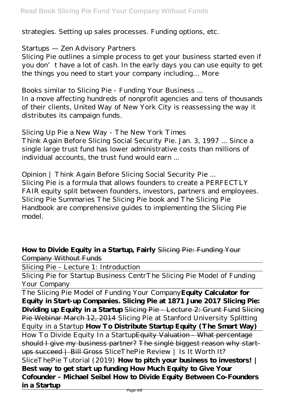strategies. Setting up sales processes. Funding options, etc.

#### *Startups — Zen Advisory Partners*

Slicing Pie outlines a simple process to get your business started even if you don't have a lot of cash. In the early days you can use equity to get the things you need to start your company including… More

#### *Books similar to Slicing Pie - Funding Your Business ...*

In a move affecting hundreds of nonprofit agencies and tens of thousands of their clients, United Way of New York City is reassessing the way it distributes its campaign funds.

# *Slicing Up Pie a New Way - The New York Times*

Think Again Before Slicing Social Security Pie. Jan. 3, 1997 ... Since a single large trust fund has lower administrative costs than millions of individual accounts, the trust fund would earn ...

# *Opinion | Think Again Before Slicing Social Security Pie ...*

Slicing Pie is a formula that allows founders to create a PERFECTLY FAIR equity split between founders, investors, partners and employees. Slicing Pie Summaries The Slicing Pie book and The Slicing Pie Handbook are comprehensive guides to implementing the Slicing Pie model.

#### **How to Divide Equity in a Startup, Fairly** Slicing Pie: Funding Your Company Without Funds

Slicing Pie - Lecture 1: Introduction

Slicing Pie for Startup Business Centr*The Slicing Pie Model of Funding Your Company*

The Slicing Pie Model of Funding Your Company**Equity Calculator for Equity in Start-up Companies. Slicing Pie at 1871 June 2017 Slicing Pie: Dividing up Equity in a Startup** Slicing Pie - Lecture 2: Grunt Fund Slicing Pie Webinar March 12, 2014 Slicing Pie at Stanford University *Splitting Equity in a Startup* **How To Distribute Startup Equity (The Smart Way)**

How To Divide Equity In a StartupEquity Valuation - What percentage should I give my business partner? The single biggest reason why startups succeed | Bill Gross *SliceThePie Review | Is It Worth It? SliceThePie Tutorial (2019)* **How to pitch your business to investors! | Best way to get start up funding How Much Equity to Give Your Cofounder - Michael Seibel How to Divide Equity Between Co-Founders in a Startup**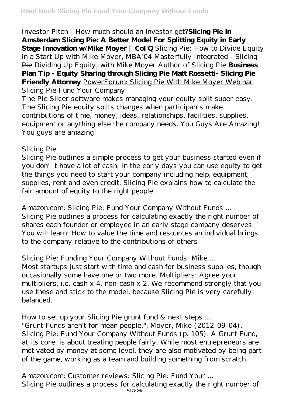Investor Pitch - How much should an investor get?**Slicing Pie in Amsterdam Slicing Pie: A Better Model For Splitting Equity in Early Stage Innovation w/Mike Moyer | CoI'Q** Slicing Pie: How to Divide Equity in a Start Up with Mike Moyer, MBA'04 Masterfully Integrated - Slicing Pie *Dividing Up Equity, with Mike Moyer Author of Slicing Pie* **Business Plan Tip - Equity Sharing through Slicing Pie Matt Rossetti- Slicing Pie Friendly Attorney** PowerForum: Slicing Pie With Mike Moyer Webinar *Slicing Pie Fund Your Company*

The Pie Slicer software makes managing your equity split super easy. The Slicing Pie equity splits changes when participants make contributions of time, money, ideas, relationships, facilities, supplies, equipment or anything else the company needs. You Guys Are Amazing! You guys are amazing!

## *Slicing Pie*

Slicing Pie outlines a simple process to get your business started even if you don't have a lot of cash. In the early days you can use equity to get the things you need to start your company including help, equipment, supplies, rent and even credit. Slicing Pie explains how to calculate the fair amount of equity to the right people.

*Amazon.com: Slicing Pie: Fund Your Company Without Funds ...* Slicing Pie outlines a process for calculating exactly the right number of shares each founder or employee in an early stage company deserves. You will learn: How to value the time and resources an individual brings to the company relative to the contributions of others

# *Slicing Pie: Funding Your Company Without Funds: Mike ...*

Most startups just start with time and cash for business supplies, though occasionally some have one or two more. Multipliers: Agree your multipliers, i.e. cash x 4, non-cash x 2. We recommend strongly that you use these and stick to the model, because Slicing Pie is very carefully balanced.

# *How to set up your Slicing Pie grunt fund & next steps ...*

"Grunt Funds aren't for mean people.", Moyer, Mike (2012-09-04). Slicing Pie: Fund Your Company Without Funds (p. 105). A Grunt Fund, at its core, is about treating people fairly. While most entrepreneurs are motivated by money at some level, they are also motivated by being part of the game, working as a team and building something from scratch.

# *Amazon.com: Customer reviews: Slicing Pie: Fund Your ...*

Slicing Pie outlines a process for calculating exactly the right number of Page 5/8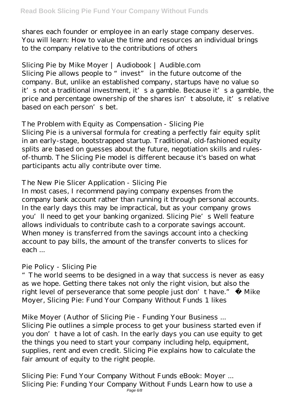shares each founder or employee in an early stage company deserves. You will learn: How to value the time and resources an individual brings to the company relative to the contributions of others

# *Slicing Pie by Mike Moyer | Audiobook | Audible.com*

Slicing Pie allows people to "invest" in the future outcome of the company. But, unlike an established company, startups have no value so it's not a traditional investment, it's a gamble. Because it's a gamble, the price and percentage ownership of the shares isn't absolute, it's relative based on each person's bet.

# *The Problem with Equity as Compensation - Slicing Pie*

Slicing Pie is a universal formula for creating a perfectly fair equity split in an early-stage, bootstrapped startup. Traditional, old-fashioned equity splits are based on guesses about the future, negotiation skills and rulesof-thumb. The Slicing Pie model is different because it's based on what participants actu ally contribute over time.

# *The New Pie Slicer Application - Slicing Pie*

In most cases, I recommend paying company expenses from the company bank account rather than running it through personal accounts. In the early days this may be impractical, but as your company grows you'll need to get your banking organized. Slicing Pie's Well feature allows individuals to contribute cash to a corporate savings account. When money is transferred from the savings account into a checking account to pay bills, the amount of the transfer converts to slices for each ...

# *Pie Policy - Slicing Pie*

"The world seems to be designed in a way that success is never as easy as we hope. Getting there takes not only the right vision, but also the right level of perseverance that some people just don't have." ― Mike Moyer, Slicing Pie: Fund Your Company Without Funds 1 likes

#### *Mike Moyer (Author of Slicing Pie - Funding Your Business ...*

Slicing Pie outlines a simple process to get your business started even if you don't have a lot of cash. In the early days you can use equity to get the things you need to start your company including help, equipment, supplies, rent and even credit. Slicing Pie explains how to calculate the fair amount of equity to the right people.

*Slicing Pie: Fund Your Company Without Funds eBook: Moyer ...* Slicing Pie: Funding Your Company Without Funds Learn how to use a Page  $6/8$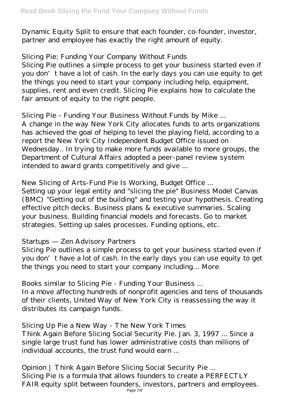Dynamic Equity Split to ensure that each founder, co-founder, investor, partner and employee has exactly the right amount of equity.

## *Slicing Pie: Funding Your Company Without Funds*

Slicing Pie outlines a simple process to get your business started even if you don't have a lot of cash. In the early days you can use equity to get the things you need to start your company including help, equipment, supplies, rent and even credit. Slicing Pie explains how to calculate the fair amount of equity to the right people.

## *Slicing Pie - Funding Your Business Without Funds by Mike ...*

A change in the way New York City allocates funds to arts organizations has achieved the goal of helping to level the playing field, according to a report the New York City Independent Budget Office issued on Wednesday.. In trying to make more funds available to more groups, the Department of Cultural Affairs adopted a peer-panel review system intended to award grants competitively and give ...

## *New Slicing of Arts-Fund Pie Is Working, Budget Office ...*

Setting up your legal entity and "slicing the pie" Business Model Canvas (BMC) "Getting out of the building" and testing your hypothesis. Creating effective pitch decks. Business plans & executive summaries. Scaling your business. Building financial models and forecasts. Go to market strategies. Setting up sales processes. Funding options, etc.

# *Startups — Zen Advisory Partners*

Slicing Pie outlines a simple process to get your business started even if you don't have a lot of cash. In the early days you can use equity to get the things you need to start your company including… More

#### *Books similar to Slicing Pie - Funding Your Business ...*

In a move affecting hundreds of nonprofit agencies and tens of thousands of their clients, United Way of New York City is reassessing the way it distributes its campaign funds.

#### *Slicing Up Pie a New Way - The New York Times*

Think Again Before Slicing Social Security Pie. Jan. 3, 1997 ... Since a single large trust fund has lower administrative costs than millions of individual accounts, the trust fund would earn ...

# *Opinion | Think Again Before Slicing Social Security Pie ...*

Slicing Pie is a formula that allows founders to create a PERFECTLY FAIR equity split between founders, investors, partners and employees.